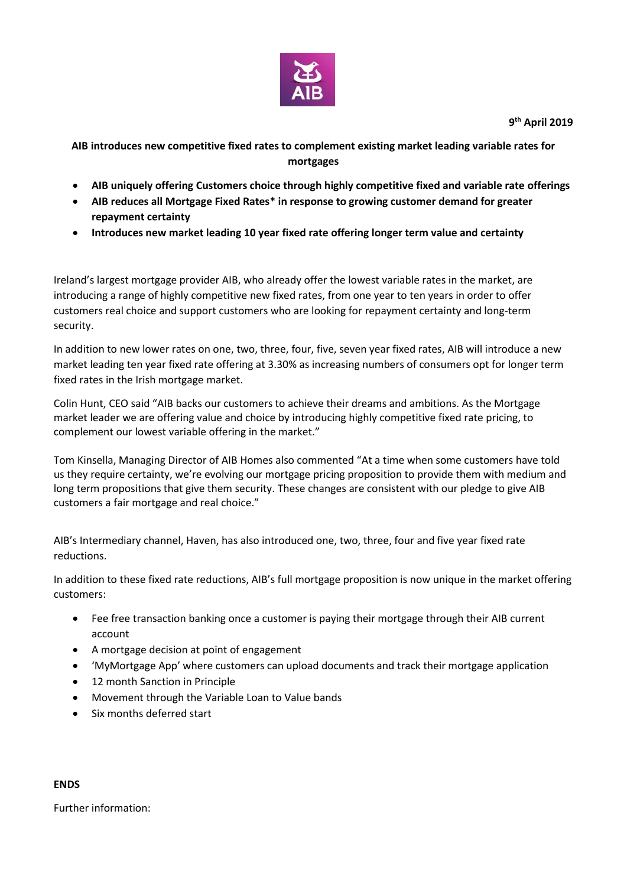

**9 th April 2019**

**AIB introduces new competitive fixed rates to complement existing market leading variable rates for mortgages** 

- **AIB uniquely offering Customers choice through highly competitive fixed and variable rate offerings**
- **AIB reduces all Mortgage Fixed Rates\* in response to growing customer demand for greater repayment certainty**
- **Introduces new market leading 10 year fixed rate offering longer term value and certainty**

Ireland's largest mortgage provider AIB, who already offer the lowest variable rates in the market, are introducing a range of highly competitive new fixed rates, from one year to ten years in order to offer customers real choice and support customers who are looking for repayment certainty and long-term security.

In addition to new lower rates on one, two, three, four, five, seven year fixed rates, AIB will introduce a new market leading ten year fixed rate offering at 3.30% as increasing numbers of consumers opt for longer term fixed rates in the Irish mortgage market.

Colin Hunt, CEO said "AIB backs our customers to achieve their dreams and ambitions. As the Mortgage market leader we are offering value and choice by introducing highly competitive fixed rate pricing, to complement our lowest variable offering in the market."

Tom Kinsella, Managing Director of AIB Homes also commented "At a time when some customers have told us they require certainty, we're evolving our mortgage pricing proposition to provide them with medium and long term propositions that give them security. These changes are consistent with our pledge to give AIB customers a fair mortgage and real choice."

AIB's Intermediary channel, Haven, has also introduced one, two, three, four and five year fixed rate reductions.

In addition to these fixed rate reductions, AIB's full mortgage proposition is now unique in the market offering customers:

- Fee free transaction banking once a customer is paying their mortgage through their AIB current account
- A mortgage decision at point of engagement
- 'MyMortgage App' where customers can upload documents and track their mortgage application
- 12 month Sanction in Principle
- Movement through the Variable Loan to Value bands
- Six months deferred start

### **ENDS**

Further information: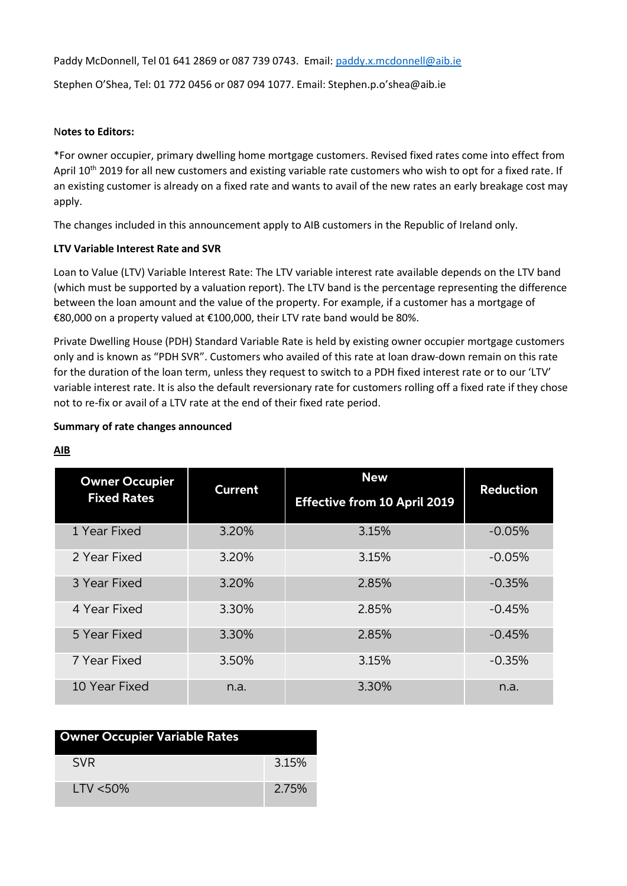Paddy McDonnell, Tel 01 641 2869 or 087 739 0743. Email: [paddy.x.mcdonnell@aib.ie](mailto:paddy.x.mcdonnell@aib.ie)

Stephen O'Shea, Tel: 01 772 0456 or 087 094 1077. Email: Stephen.p.o'shea@aib.ie

## N**otes to Editors:**

\*For owner occupier, primary dwelling home mortgage customers. Revised fixed rates come into effect from April 10<sup>th</sup> 2019 for all new customers and existing variable rate customers who wish to opt for a fixed rate. If an existing customer is already on a fixed rate and wants to avail of the new rates an early breakage cost may apply.

The changes included in this announcement apply to AIB customers in the Republic of Ireland only.

## **LTV Variable Interest Rate and SVR**

Loan to Value (LTV) Variable Interest Rate: The LTV variable interest rate available depends on the LTV band (which must be supported by a valuation report). The LTV band is the percentage representing the difference between the loan amount and the value of the property. For example, if a customer has a mortgage of €80,000 on a property valued at €100,000, their LTV rate band would be 80%.

Private Dwelling House (PDH) Standard Variable Rate is held by existing owner occupier mortgage customers only and is known as "PDH SVR". Customers who availed of this rate at loan draw-down remain on this rate for the duration of the loan term, unless they request to switch to a PDH fixed interest rate or to our 'LTV' variable interest rate. It is also the default reversionary rate for customers rolling off a fixed rate if they chose not to re-fix or avail of a LTV rate at the end of their fixed rate period.

## **Summary of rate changes announced**

| <b>Owner Occupier</b><br><b>Fixed Rates</b> | <b>Current</b> | <b>New</b><br><b>Effective from 10 April 2019</b> | <b>Reduction</b> |
|---------------------------------------------|----------------|---------------------------------------------------|------------------|
|                                             |                |                                                   |                  |
| 1 Year Fixed                                | 3.20%          | 3.15%                                             | $-0.05%$         |
| 2 Year Fixed                                | 3.20%          | 3.15%                                             | $-0.05%$         |
| 3 Year Fixed                                | 3.20%          | 2.85%                                             | $-0.35%$         |
| 4 Year Fixed                                | 3.30%          | 2.85%                                             | $-0.45%$         |
| 5 Year Fixed                                | 3.30%          | 2.85%                                             | $-0.45%$         |
| 7 Year Fixed                                | 3.50%          | 3.15%                                             | $-0.35%$         |
| 10 Year Fixed                               | n.a.           | 3.30%                                             | n.a.             |

**AIB** 

| <b>Owner Occupier Variable Rates</b> |       |
|--------------------------------------|-------|
| <b>SVR</b>                           | 3.15% |
| I TV $<$ 50%                         | 2.75% |